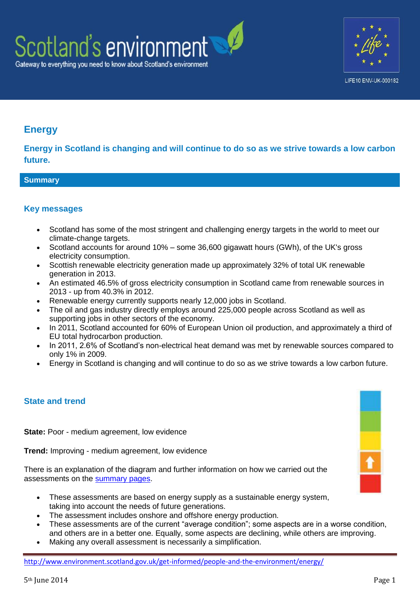

# **Energy**

**Energy in Scotland is changing and will continue to do so as we strive towards a low carbon future.**

## **Summary**

## **Key messages**

- Scotland has some of the most stringent and challenging energy targets in the world to meet our climate-change targets.
- Scotland accounts for around 10% some 36,600 gigawatt hours (GWh), of the UK's gross electricity consumption.
- Scottish renewable electricity generation made up approximately 32% of total UK renewable generation in 2013.
- An estimated 46.5% of gross electricity consumption in Scotland came from renewable sources in 2013 - up from 40.3% in 2012.
- Renewable energy currently supports nearly 12,000 jobs in Scotland.
- The oil and gas industry directly employs around 225,000 people across Scotland as well as supporting jobs in other sectors of the economy.
- In 2011, Scotland accounted for 60% of European Union oil production, and approximately a third of EU total hydrocarbon production.
- In 2011, 2.6% of Scotland's non-electrical heat demand was met by renewable sources compared to only 1% in 2009.
- Energy in Scotland is changing and will continue to do so as we strive towards a low carbon future.

## **State and trend**

**State:** Poor - medium agreement, low evidence

**Trend:** Improving - medium agreement, low evidence

There is an explanation of the diagram and further information on how we carried out the assessments on the [summary pages.](http://www.environment.scotland.gov.uk/get-informed/state-of-the-environment-summary/state-and-trend-assessments/)

- These assessments are based on energy supply as a sustainable energy system, taking into account the needs of future generations.
- The assessment includes onshore and offshore energy production.
- These assessments are of the current "average condition"; some aspects are in a worse condition, and others are in a better one. Equally, some aspects are declining, while others are improving.
- Making any overall assessment is necessarily a simplification.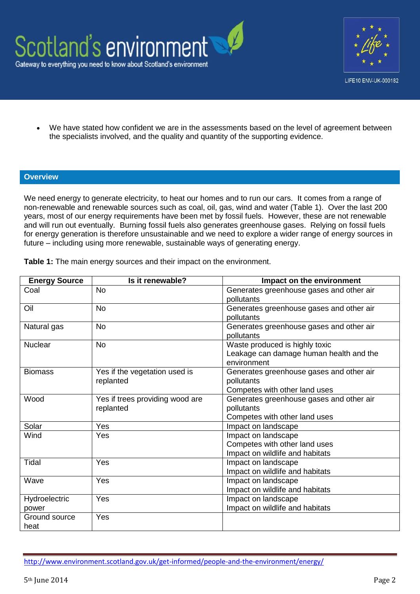



We have stated how confident we are in the assessments based on the level of agreement between the specialists involved, and the quality and quantity of the supporting evidence.

#### **Overview**

We need energy to generate electricity, to heat our homes and to run our cars. It comes from a range of non-renewable and renewable sources such as coal, oil, gas, wind and water (Table 1). Over the last 200 years, most of our energy requirements have been met by fossil fuels. However, these are not renewable and will run out eventually. Burning fossil fuels also generates greenhouse gases. Relying on fossil fuels for energy generation is therefore unsustainable and we need to explore a wider range of energy sources in future – including using more renewable, sustainable ways of generating energy.

| <b>Energy Source</b> | Is it renewable?                | Impact on the environment                |  |
|----------------------|---------------------------------|------------------------------------------|--|
| Coal                 | <b>No</b>                       | Generates greenhouse gases and other air |  |
|                      |                                 | pollutants                               |  |
| Oil                  | <b>No</b>                       | Generates greenhouse gases and other air |  |
|                      |                                 | pollutants                               |  |
| Natural gas          | <b>No</b>                       | Generates greenhouse gases and other air |  |
|                      |                                 | pollutants                               |  |
| <b>Nuclear</b>       | No.                             | Waste produced is highly toxic           |  |
|                      |                                 | Leakage can damage human health and the  |  |
|                      |                                 | environment                              |  |
| <b>Biomass</b>       | Yes if the vegetation used is   | Generates greenhouse gases and other air |  |
|                      | replanted                       | pollutants                               |  |
|                      |                                 | Competes with other land uses            |  |
| Wood                 | Yes if trees providing wood are | Generates greenhouse gases and other air |  |
|                      | replanted                       | pollutants                               |  |
|                      |                                 | Competes with other land uses            |  |
| Solar                | Yes                             | Impact on landscape                      |  |
| Wind                 | Yes                             | Impact on landscape                      |  |
|                      |                                 | Competes with other land uses            |  |
|                      |                                 | Impact on wildlife and habitats          |  |
| Tidal                | Yes                             | Impact on landscape                      |  |
|                      |                                 | Impact on wildlife and habitats          |  |
| Wave                 | Yes                             | Impact on landscape                      |  |
|                      |                                 | Impact on wildlife and habitats          |  |
| Hydroelectric        | Yes                             | Impact on landscape                      |  |
| power                |                                 | Impact on wildlife and habitats          |  |
| Ground source        | Yes                             |                                          |  |
| heat                 |                                 |                                          |  |

**Table 1:** The main energy sources and their impact on the environment.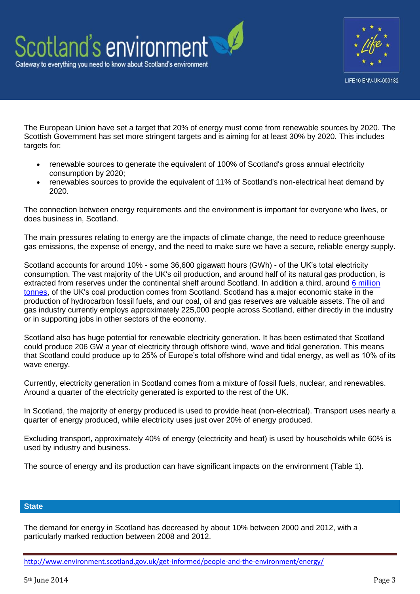

The European Union have set a target that 20% of energy must come from renewable sources by 2020. The Scottish Government has set more stringent targets and is aiming for at least 30% by 2020. This includes targets for:

- renewable sources to generate the equivalent of 100% of Scotland's gross annual electricity consumption by 2020;
- renewables sources to provide the equivalent of 11% of Scotland's non-electrical heat demand by 2020.

The connection between energy requirements and the environment is important for everyone who lives, or does business in, Scotland.

The main pressures relating to energy are the impacts of climate change, the need to reduce greenhouse gas emissions, the expense of energy, and the need to make sure we have a secure, reliable energy supply.

Scotland accounts for around 10% - some 36,600 gigawatt hours (GWh) - of the UK's total electricity consumption. The vast majority of the UK's oil production, and around half of its natural gas production, is extracted from reserves under the continental shelf around Scotland. In addition a third, around [6 million](http://www.scotland.gov.uk/Publications/2012/03/2818/3)  [tonnes,](http://www.scotland.gov.uk/Publications/2012/03/2818/3) of the UK's coal production comes from Scotland. Scotland has a major economic stake in the production of hydrocarbon fossil fuels, and our coal, oil and gas reserves are valuable assets. The oil and gas industry currently employs approximately 225,000 people across Scotland, either directly in the industry or in supporting jobs in other sectors of the economy.

Scotland also has huge potential for renewable electricity generation. It has been estimated that Scotland could produce 206 GW a year of electricity through offshore wind, wave and tidal generation. This means that Scotland could produce up to 25% of Europe's total offshore wind and tidal energy, as well as 10% of its wave energy.

Currently, electricity generation in Scotland comes from a mixture of fossil fuels, nuclear, and renewables. Around a quarter of the electricity generated is exported to the rest of the UK.

In Scotland, the majority of energy produced is used to provide heat (non-electrical). Transport uses nearly a quarter of energy produced, while electricity uses just over 20% of energy produced.

Excluding transport, approximately 40% of energy (electricity and heat) is used by households while 60% is used by industry and business.

The source of energy and its production can have significant impacts on the environment (Table 1).

### **State**

The demand for energy in Scotland has decreased by about 10% between 2000 and 2012, with a particularly marked reduction between 2008 and 2012.

<http://www.environment.scotland.gov.uk/get-informed/people-and-the-environment/energy/>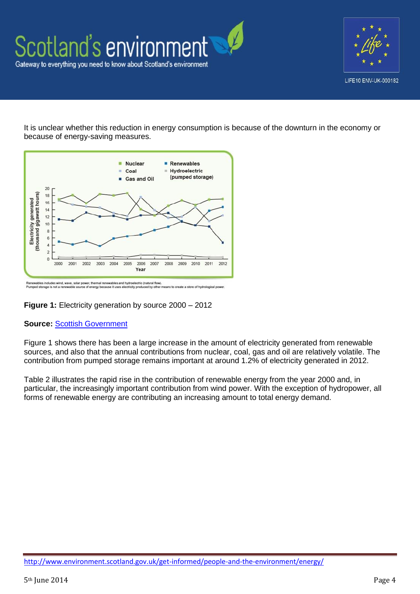



It is unclear whether this reduction in energy consumption is because of the downturn in the economy or because of energy-saving measures.



.<br>Renewables includes wind, wave, solar power, thermal renewables and hydroelectric (natural flow).<br>Pumped storage is not a renewable source of energy because it uses electricity produced by other

**Figure 1:** Electricity generation by source 2000 – 2012

#### **Source:** [Scottish Government](http://www.scotland.gov.uk/seso/Datasets.aspx?TID=18)

Figure 1 shows there has been a large increase in the amount of electricity generated from renewable sources, and also that the annual contributions from nuclear, coal, gas and oil are relatively volatile. The contribution from pumped storage remains important at around 1.2% of electricity generated in 2012.

Table 2 illustrates the rapid rise in the contribution of renewable energy from the year 2000 and, in particular, the increasingly important contribution from wind power. With the exception of hydropower, all forms of renewable energy are contributing an increasing amount to total energy demand.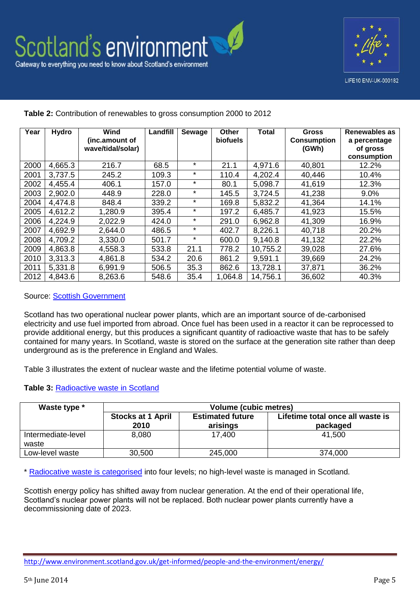

#### **Year Hydro Wind (inc.amount of wave/tidal/solar) Landfill Sewage Other biofuels Total Gross Consumption (GWh) Renewables as a percentage of gross consumption** 2000 4,665.3 216.7 68.5 \* 21.1 4,971.6 40,801 12.2% 2001 | 3,737.5 | 245.2 | 109.3 | \* | 110.4 | 4,202.4 | 40,446 | 10.4% 2002 | 4,455.4 | 406.1 | 157.0 | \* | 80.1 | 5,098.7 | 41,619 | 12.3% 2003 2,902.0 448.9 228.0 \* 145.5 3,724.5 41,238 9.0% 2004 | 4,474.8 | 848.4 | 339.2 | \* | 169.8 | 5,832.2 | 41,364 | 14.1% 2005 4,612.2 1,280.9 395.4 \* 197.2 6,485.7 41,923 15.5% 2006 4,224.9 2,022.9 424.0 \* 291.0 6,962.8 41,309 16.9% 2007 4,692.9 2,644.0 486.5 \* 402.7 8,226.1 40,718 20.2% 2008 4,709.2 3,330.0 501.7 \* 600.0 9,140.8 41,132 22.2% 2009 | 4,863.8 | 4,558.3 | 533.8 | 21.1 | 778.2 | 10,755.2 | 39,028 | 27.6% 2010 3,313.3 4,861.8 534.2 20.6 861.2 9,591.1 39,669 24.2% 2011 5,331.8 6,991.9 506.5 35.3 862.6 13,728.1 37,871 36.2% 2012 4,843.6 8,263.6 548.6 35.4 1,064.8 14,756.1 36,602 40.3%

**Table 2:** Contribution of renewables to gross consumption 2000 to 2012

Source: [Scottish Government](http://www.scotland.gov.uk/Resource/0044/00447302.pdf)

Scotland has two operational nuclear power plants, which are an important source of de-carbonised electricity and use fuel imported from abroad. Once fuel has been used in a reactor it can be reprocessed to provide additional energy, but this produces a significant quantity of radioactive waste that has to be safely contained for many years. In Scotland, waste is stored on the surface at the generation site rather than deep underground as is the preference in England and Wales.

Table 3 illustrates the extent of nuclear waste and the lifetime potential volume of waste.

#### **Table 3:** [Radioactive waste in Scotland](http://www.nda.gov.uk/ukinventory/the-2013-inventory/2013-uk-data/)

| Waste type *                | <b>Volume (cubic metres)</b>     |                                     |                                              |
|-----------------------------|----------------------------------|-------------------------------------|----------------------------------------------|
|                             | <b>Stocks at 1 April</b><br>2010 | <b>Estimated future</b><br>arisings | Lifetime total once all waste is<br>packaged |
| Intermediate-level<br>waste | 8,080                            | 17,400                              | 41.500                                       |
| Low-level waste             | 30,500                           | 245,000                             | 374,000                                      |

\* [Radiocative waste is categorised](http://www.scotland.gov.uk/Topics/Environment/waste-and-pollution/Waste-1/16293/8942) into four levels; no high-level waste is managed in Scotland.

Scottish energy policy has shifted away from nuclear generation. At the end of their operational life, Scotland's nuclear power plants will not be replaced. Both nuclear power plants currently have a decommissioning date of 2023.

<http://www.environment.scotland.gov.uk/get-informed/people-and-the-environment/energy/>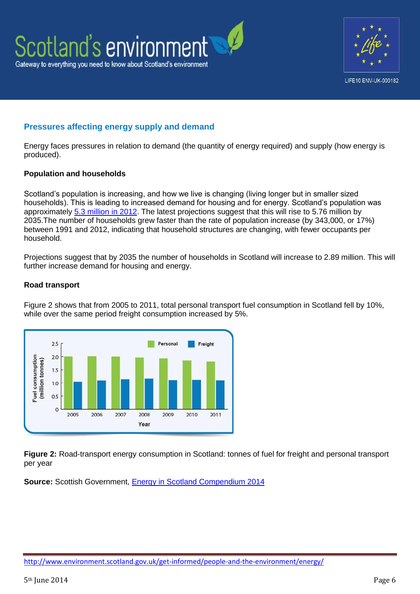



## **Pressures affecting energy supply and demand**

Energy faces pressures in relation to demand (the quantity of energy required) and supply (how energy is produced).

### **Population and households**

Scotland's population is increasing, and how we live is changing (living longer but in smaller sized households). This is leading to increased demand for housing and for energy. Scotland's population was approximately [5.3 million in 2012.](http://www.scotlandscensus.gov.uk/population-households) The latest projections suggest that this will rise to 5.76 million by 2035.The number of households grew faster than the rate of population increase (by 343,000, or 17%) between 1991 and 2012, indicating that household structures are changing, with fewer occupants per household.

Projections suggest that by 2035 the number of households in Scotland will increase to 2.89 million. This will further increase demand for housing and energy.

#### **Road transport**

Figure 2 shows that from 2005 to 2011, total personal transport fuel consumption in Scotland fell by 10%, while over the same period freight consumption increased by 5%.



**Figure 2:** Road-transport energy consumption in Scotland: tonnes of fuel for freight and personal transport per year

**Source:** Scottish Government, [Energy in Scotland Compendium 2014](http://www.scotland.gov.uk/Topics/Statistics/Browse/Business/Energy/Compendium2014)

<http://www.environment.scotland.gov.uk/get-informed/people-and-the-environment/energy/>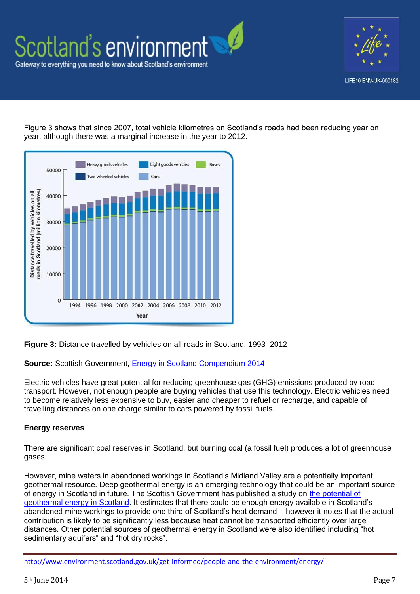



Figure 3 shows that since 2007, total vehicle kilometres on Scotland's roads had been reducing year on year, although there was a marginal increase in the year to 2012.



**Figure 3:** Distance travelled by vehicles on all roads in Scotland, 1993–2012

**Source:** Scottish Government, [Energy in Scotland Compendium 2014](http://www.scotland.gov.uk/Topics/Statistics/Browse/Business/Energy/Compendium2014)

Electric vehicles have great potential for reducing greenhouse gas (GHG) emissions produced by road transport. However, not enough people are buying vehicles that use this technology. Electric vehicles need to become relatively less expensive to buy, easier and cheaper to refuel or recharge, and capable of travelling distances on one charge similar to cars powered by fossil fuels.

#### **Energy reserves**

There are significant coal reserves in Scotland, but burning coal (a fossil fuel) produces a lot of greenhouse gases.

However, mine waters in abandoned workings in Scotland's Midland Valley are a potentially important geothermal resource. Deep geothermal energy is an emerging technology that could be an important source of energy in Scotland in future. The Scottish Government has published a study on [the potential of](http://www.scotland.gov.uk/Publications/2013/11/2800/4)  [geothermal energy in Scotland.](http://www.scotland.gov.uk/Publications/2013/11/2800/4) It estimates that there could be enough energy available in Scotland's abandoned mine workings to provide one third of Scotland's heat demand – however it notes that the actual contribution is likely to be significantly less because heat cannot be transported efficiently over large distances. Other potential sources of geothermal energy in Scotland were also identified including "hot sedimentary aquifers" and "hot dry rocks".

<http://www.environment.scotland.gov.uk/get-informed/people-and-the-environment/energy/>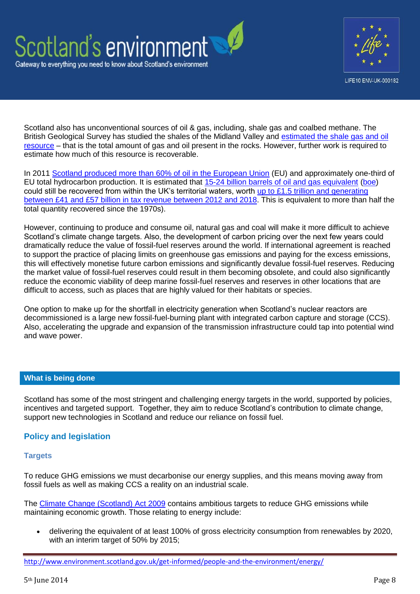



Scotland also has unconventional sources of oil & gas, including, shale gas and coalbed methane. The British Geological Survey has studied the shales of the Midland Valley and [estimated the shale gas and oil](https://www.gov.uk/government/publications/bgs-midland-valley-of-scotland-shale-reports)  [resource](https://www.gov.uk/government/publications/bgs-midland-valley-of-scotland-shale-reports) – that is the total amount of gas and oil present in the rocks. However, further work is required to estimate how much of this resource is recoverable.

In 2011 [Scotland produced more than 60% of oil in the European Union](http://www.scotland.gov.uk/Resource/0041/00416072.pdf) (EU) and approximately one-third of EU total hydrocarbon production. It is estimated that [15-24 billion barrels of oil and gas equivalent](http://www.oilandgasuk.co.uk/2012economic_report/resources_reserves.cfm) [\(boe\)](http://www.investopedia.com/terms/b/barrelofoilequivalent.asp) could still be recovered from within the UK's territorial waters, worth [up to £1.5 trillion and generating](http://www.scotland.gov.uk/Resource/0041/00416072.pdf)  [between £41 and £57 billion in tax revenue between 2012 and 2018.](http://www.scotland.gov.uk/Resource/0041/00416072.pdf) This is equivalent to more than half the total quantity recovered since the 1970s).

However, continuing to produce and consume oil, natural gas and coal will make it more difficult to achieve Scotland's climate change targets. Also, the development of carbon pricing over the next few years could dramatically reduce the value of fossil-fuel reserves around the world. If international agreement is reached to support the practice of placing limits on greenhouse gas emissions and paying for the excess emissions, this will effectively monetise future carbon emissions and significantly devalue fossil-fuel reserves. Reducing the market value of fossil-fuel reserves could result in them becoming obsolete, and could also significantly reduce the economic viability of deep marine fossil-fuel reserves and reserves in other locations that are difficult to access, such as places that are highly valued for their habitats or species.

One option to make up for the shortfall in electricity generation when Scotland's nuclear reactors are decommissioned is a large new fossil-fuel-burning plant with integrated carbon capture and storage (CCS). Also, accelerating the upgrade and expansion of the transmission infrastructure could tap into potential wind and wave power.

### **What is being done**

Scotland has some of the most stringent and challenging energy targets in the world, supported by policies, incentives and targeted support. Together, they aim to reduce Scotland's contribution to climate change, support new technologies in Scotland and reduce our reliance on fossil fuel.

### **Policy and legislation**

#### **Targets**

To reduce GHG emissions we must decarbonise our energy supplies, and this means moving away from fossil fuels as well as making CCS a reality on an industrial scale.

The [Climate Change \(Scotland\) Act 2009](http://www.scotland.gov.uk/Topics/Environment/climatechange/scotlands-action/climatechangeact) contains ambitious targets to reduce GHG emissions while maintaining economic growth. Those relating to energy include:

 delivering the equivalent of at least 100% of gross electricity consumption from renewables by 2020, with an interim target of 50% by 2015;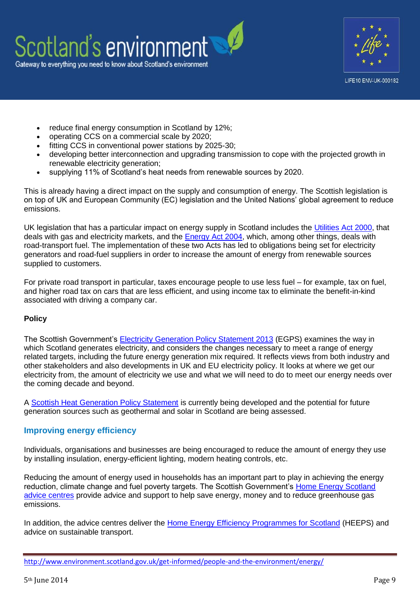

- reduce final energy consumption in Scotland by 12%;
- operating CCS on a commercial scale by 2020;
- fitting CCS in conventional power stations by 2025-30;
- developing better interconnection and upgrading transmission to cope with the projected growth in renewable electricity generation;
- supplying 11% of Scotland's heat needs from renewable sources by 2020.

This is already having a direct impact on the supply and consumption of energy. The Scottish legislation is on top of UK and European Community (EC) legislation and the United Nations' global agreement to reduce emissions.

UK legislation that has a particular impact on energy supply in Scotland includes the [Utilities Act 2000,](http://www.legislation.gov.uk/ukpga/2000/27/contents) that deals with gas and electricity markets, and the [Energy Act 2004,](http://www.legislation.gov.uk/ukpga/2004/20/contents) which, among other things, deals with road-transport fuel. The implementation of these two Acts has led to obligations being set for electricity generators and road-fuel suppliers in order to increase the amount of energy from renewable sources supplied to customers.

For private road transport in particular, taxes encourage people to use less fuel – for example, tax on fuel, and higher road tax on cars that are less efficient, and using income tax to eliminate the benefit-in-kind associated with driving a company car.

### **Policy**

The Scottish Government's [Electricity Generation Policy Statement 2013](http://www.scotland.gov.uk/Resource/0042/00426475.pdf) (EGPS) examines the way in which Scotland generates electricity, and considers the changes necessary to meet a range of energy related targets, including the future energy generation mix required. It reflects views from both industry and other stakeholders and also developments in UK and EU electricity policy. It looks at where we get our electricity from, the amount of electricity we use and what we will need to do to meet our energy needs over the coming decade and beyond.

A [Scottish Heat Generation Policy Statement](http://www.scotland.gov.uk/Publications/2014/03/2778) is currently being developed and the potential for future generation sources such as geothermal and solar in Scotland are being assessed.

## **Improving energy efficiency**

Individuals, organisations and businesses are being encouraged to reduce the amount of energy they use by installing insulation, energy-efficient lighting, modern heating controls, etc.

Reducing the amount of energy used in households has an important part to play in achieving the energy reduction, climate change and fuel poverty targets. The Scottish Government's Home Energy Scotland [advice centres](http://www.energysavingtrust.org.uk/scotland) provide advice and support to help save energy, money and to reduce greenhouse gas emissions.

In addition, the advice centres deliver the [Home Energy Efficiency Programmes for Scotland](http://www.energysavingtrust.org.uk/scotland/Take-action/Home-Energy-Scotland/Home-Energy-Efficiency-Programmes-for-Scotland) (HEEPS) and advice on sustainable transport.

<http://www.environment.scotland.gov.uk/get-informed/people-and-the-environment/energy/>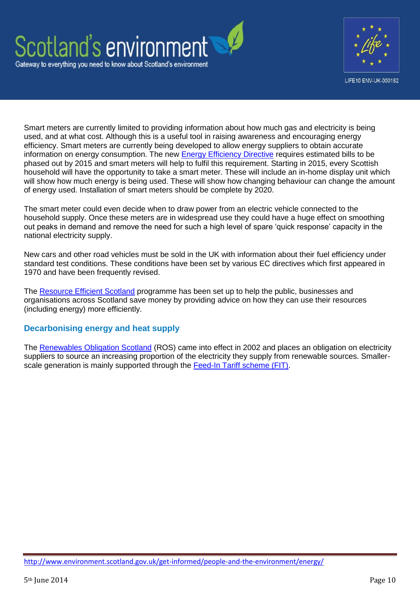



Smart meters are currently limited to providing information about how much gas and electricity is being used, and at what cost. Although this is a useful tool in raising awareness and encouraging energy efficiency. Smart meters are currently being developed to allow energy suppliers to obtain accurate information on energy consumption. The new [Energy Efficiency Directive](http://ec.europa.eu/energy/efficiency/eed/eed_en.htm) requires estimated bills to be phased out by 2015 and smart meters will help to fulfil this requirement. Starting in 2015, every Scottish household will have the opportunity to take a smart meter. These will include an in-home display unit which will show how much energy is being used. These will show how changing behaviour can change the amount of energy used. Installation of smart meters should be complete by 2020.

The smart meter could even decide when to draw power from an electric vehicle connected to the household supply. Once these meters are in widespread use they could have a huge effect on smoothing out peaks in demand and remove the need for such a high level of spare 'quick response' capacity in the national electricity supply.

New cars and other road vehicles must be sold in the UK with information about their fuel efficiency under standard test conditions. These conditions have been set by various EC directives which first appeared in 1970 and have been frequently revised.

The [Resource Efficient Scotland](http://www.resourceefficientscotland.com/) programme has been set up to help the public, businesses and organisations across Scotland save money by providing advice on how they can use their resources (including energy) more efficiently.

### **Decarbonising energy and heat supply**

The [Renewables Obligation Scotland](http://www.scotland.gov.uk/Topics/Business-Industry/Energy/Obligation-12-13) (ROS) came into effect in 2002 and places an obligation on electricity suppliers to source an increasing proportion of the electricity they supply from renewable sources. Smaller-scale generation is mainly supported through the [Feed-In Tariff scheme \(FIT\).](https://www.ofgem.gov.uk/environmental-programmes/feed-tariff-fit-scheme)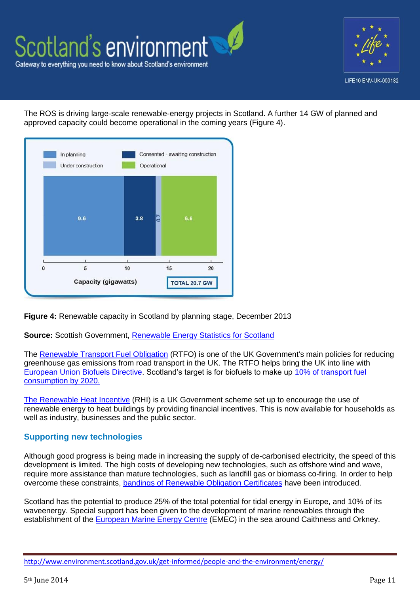

The ROS is driving large-scale renewable-energy projects in Scotland. A further 14 GW of planned and approved capacity could become operational in the coming years (Figure 4).



**Figure 4:** Renewable capacity in Scotland by planning stage, December 2013

**Source:** Scottish Government, [Renewable Energy Statistics for Scotland](http://www.scotland.gov.uk/Resource/0044/00447302.pdf)

The [Renewable Transport Fuel Obligation](https://www.gov.uk/renewable-transport-fuels-obligation) (RTFO) is one of the UK Government's main policies for reducing greenhouse gas emissions from road transport in the UK. The RTFO helps bring the UK into line with [European Union Biofuels Directive.](http://en.wikipedia.org/wiki/Directive_on_the_Promotion_of_the_use_of_biofuels_and_other_renewable_fuels_for_transport) Scotland's target is for biofuels to make up [10% of transport fuel](http://www.scotland.gov.uk/Publications/2013/06/6387/9)  [consumption by 2020.](http://www.scotland.gov.uk/Publications/2013/06/6387/9)

[The Renewable Heat Incentive](http://www.energysavingtrust.org.uk/scotland/domestic/improving-my-home/renewable-heat-incentive) (RHI) is a UK Government scheme set up to encourage the use of renewable energy to heat buildings by providing financial incentives. This is now available for households as well as industry, businesses and the public sector.

### **Supporting new technologies**

Although good progress is being made in increasing the supply of de-carbonised electricity, the speed of this development is limited. The high costs of developing new technologies, such as offshore wind and wave, require more assistance than mature technologies, such as landfill gas or biomass co-firing. In order to help overcome these constraints, [bandings of Renewable Obligation Certificates](http://www.scotland.gov.uk/Topics/Business-Industry/Energy/Obligation-12-13) have been introduced.

Scotland has the potential to produce 25% of the total potential for tidal energy in Europe, and 10% of its waveenergy. Special support has been given to the development of marine renewables through the establishment of the [European Marine Energy Centre](http://www.emec.org.uk/) (EMEC) in the sea around Caithness and Orkney.

<http://www.environment.scotland.gov.uk/get-informed/people-and-the-environment/energy/>